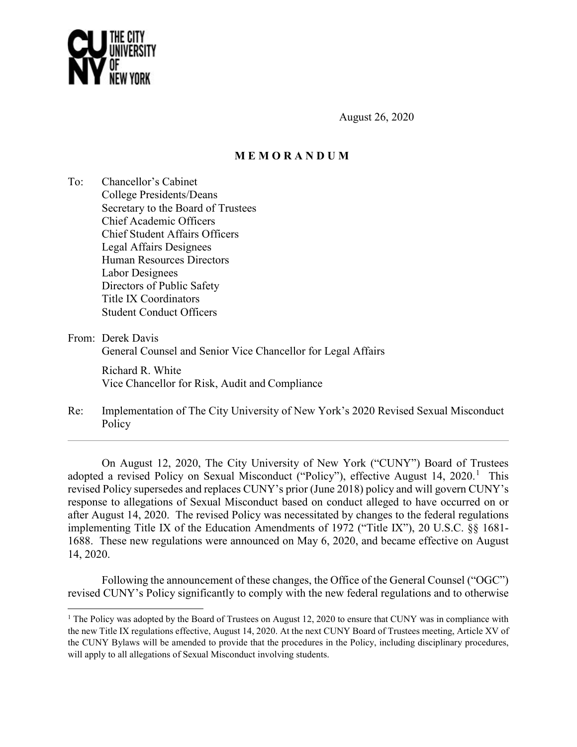

August 26, 2020

# **M E M O R A N D U M**

To: Chancellor's Cabinet College Presidents/Deans Secretary to the Board of Trustees Chief Academic Officers Chief Student Affairs Officers Legal Affairs Designees Human Resources Directors Labor Designees Directors of Public Safety Title IX Coordinators Student Conduct Officers

From: Derek Davis

 $\overline{\phantom{a}}$ 

General Counsel and Senior Vice Chancellor for Legal Affairs

 Richard R. White Vice Chancellor for Risk, Audit and Compliance

Re: Implementation of The City University of New York's 2020 Revised Sexual Misconduct Policy

On August 12, 2020, The City University of New York ("CUNY") Board of Trustees adopted a revised Policy on Sexual Misconduct ("Policy"), effective August [1](#page-0-0)4, 2020.<sup>1</sup> This revised Policy supersedes and replaces CUNY's prior (June 2018) policy and will govern CUNY's response to allegations of Sexual Misconduct based on conduct alleged to have occurred on or after August 14, 2020. The revised Policy was necessitated by changes to the federal regulations implementing Title IX of the Education Amendments of 1972 ("Title IX"), 20 U.S.C. §§ 1681- 1688. These new regulations were announced on May 6, 2020, and became effective on August 14, 2020.

Following the announcement of these changes, the Office of the General Counsel ("OGC") revised CUNY's Policy significantly to comply with the new federal regulations and to otherwise

<span id="page-0-0"></span><sup>&</sup>lt;sup>1</sup> The Policy was adopted by the Board of Trustees on August 12, 2020 to ensure that CUNY was in compliance with the new Title IX regulations effective, August 14, 2020. At the next CUNY Board of Trustees meeting, Article XV of the CUNY Bylaws will be amended to provide that the procedures in the Policy, including disciplinary procedures, will apply to all allegations of Sexual Misconduct involving students.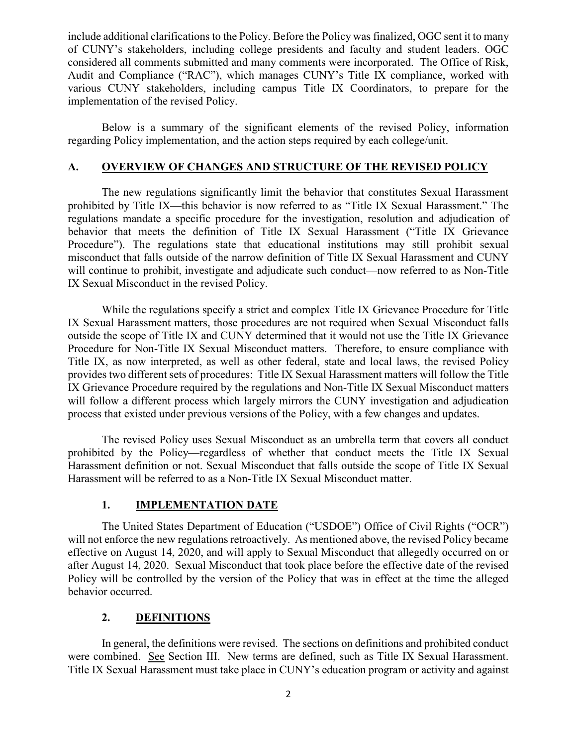include additional clarifications to the Policy. Before the Policy was finalized, OGC sent it to many of CUNY's stakeholders, including college presidents and faculty and student leaders. OGC considered all comments submitted and many comments were incorporated. The Office of Risk, Audit and Compliance ("RAC"), which manages CUNY's Title IX compliance, worked with various CUNY stakeholders, including campus Title IX Coordinators, to prepare for the implementation of the revised Policy.

Below is a summary of the significant elements of the revised Policy, information regarding Policy implementation, and the action steps required by each college/unit.

## **A. OVERVIEW OF CHANGES AND STRUCTURE OF THE REVISED POLICY**

The new regulations significantly limit the behavior that constitutes Sexual Harassment prohibited by Title IX—this behavior is now referred to as "Title IX Sexual Harassment." The regulations mandate a specific procedure for the investigation, resolution and adjudication of behavior that meets the definition of Title IX Sexual Harassment ("Title IX Grievance Procedure"). The regulations state that educational institutions may still prohibit sexual misconduct that falls outside of the narrow definition of Title IX Sexual Harassment and CUNY will continue to prohibit, investigate and adjudicate such conduct—now referred to as Non-Title IX Sexual Misconduct in the revised Policy.

While the regulations specify a strict and complex Title IX Grievance Procedure for Title IX Sexual Harassment matters, those procedures are not required when Sexual Misconduct falls outside the scope of Title IX and CUNY determined that it would not use the Title IX Grievance Procedure for Non-Title IX Sexual Misconduct matters. Therefore, to ensure compliance with Title IX, as now interpreted, as well as other federal, state and local laws, the revised Policy provides two different sets of procedures: Title IX Sexual Harassment matters will follow the Title IX Grievance Procedure required by the regulations and Non-Title IX Sexual Misconduct matters will follow a different process which largely mirrors the CUNY investigation and adjudication process that existed under previous versions of the Policy, with a few changes and updates.

The revised Policy uses Sexual Misconduct as an umbrella term that covers all conduct prohibited by the Policy—regardless of whether that conduct meets the Title IX Sexual Harassment definition or not. Sexual Misconduct that falls outside the scope of Title IX Sexual Harassment will be referred to as a Non-Title IX Sexual Misconduct matter.

## **1. IMPLEMENTATION DATE**

The United States Department of Education ("USDOE") Office of Civil Rights ("OCR") will not enforce the new regulations retroactively. As mentioned above, the revised Policy became effective on August 14, 2020, and will apply to Sexual Misconduct that allegedly occurred on or after August 14, 2020. Sexual Misconduct that took place before the effective date of the revised Policy will be controlled by the version of the Policy that was in effect at the time the alleged behavior occurred.

# **2. DEFINITIONS**

In general, the definitions were revised. The sections on definitions and prohibited conduct were combined. See Section III. New terms are defined, such as Title IX Sexual Harassment. Title IX Sexual Harassment must take place in CUNY's education program or activity and against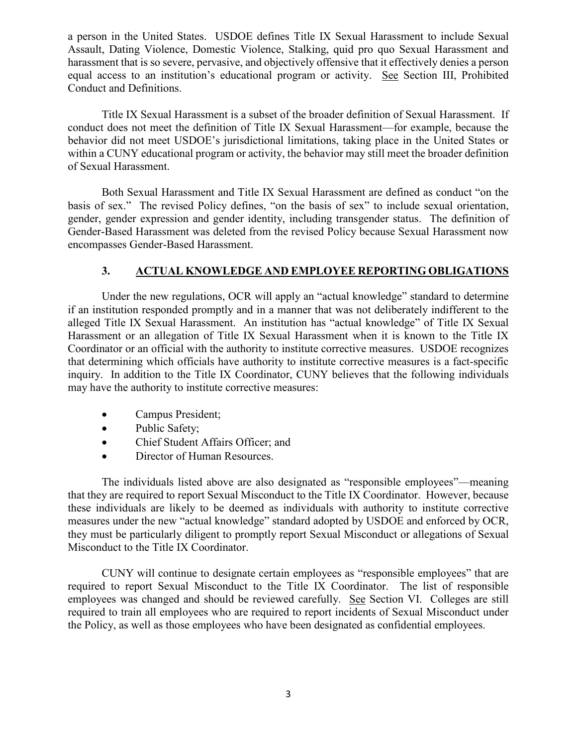a person in the United States. USDOE defines Title IX Sexual Harassment to include Sexual Assault, Dating Violence, Domestic Violence, Stalking, quid pro quo Sexual Harassment and harassment that is so severe, pervasive, and objectively offensive that it effectively denies a person equal access to an institution's educational program or activity. See Section III, Prohibited Conduct and Definitions.

Title IX Sexual Harassment is a subset of the broader definition of Sexual Harassment. If conduct does not meet the definition of Title IX Sexual Harassment—for example, because the behavior did not meet USDOE's jurisdictional limitations, taking place in the United States or within a CUNY educational program or activity, the behavior may still meet the broader definition of Sexual Harassment.

Both Sexual Harassment and Title IX Sexual Harassment are defined as conduct "on the basis of sex." The revised Policy defines, "on the basis of sex" to include sexual orientation, gender, gender expression and gender identity, including transgender status. The definition of Gender-Based Harassment was deleted from the revised Policy because Sexual Harassment now encompasses Gender-Based Harassment.

# **3. ACTUAL KNOWLEDGE AND EMPLOYEE REPORTING OBLIGATIONS**

Under the new regulations, OCR will apply an "actual knowledge" standard to determine if an institution responded promptly and in a manner that was not deliberately indifferent to the alleged Title IX Sexual Harassment. An institution has "actual knowledge" of Title IX Sexual Harassment or an allegation of Title IX Sexual Harassment when it is known to the Title IX Coordinator or an official with the authority to institute corrective measures. USDOE recognizes that determining which officials have authority to institute corrective measures is a fact-specific inquiry. In addition to the Title IX Coordinator, CUNY believes that the following individuals may have the authority to institute corrective measures:

- Campus President;
- Public Safety;
- Chief Student Affairs Officer; and
- Director of Human Resources.

The individuals listed above are also designated as "responsible employees"—meaning that they are required to report Sexual Misconduct to the Title IX Coordinator. However, because these individuals are likely to be deemed as individuals with authority to institute corrective measures under the new "actual knowledge" standard adopted by USDOE and enforced by OCR, they must be particularly diligent to promptly report Sexual Misconduct or allegations of Sexual Misconduct to the Title IX Coordinator.

CUNY will continue to designate certain employees as "responsible employees" that are required to report Sexual Misconduct to the Title IX Coordinator. The list of responsible employees was changed and should be reviewed carefully. See Section VI. Colleges are still required to train all employees who are required to report incidents of Sexual Misconduct under the Policy, as well as those employees who have been designated as confidential employees.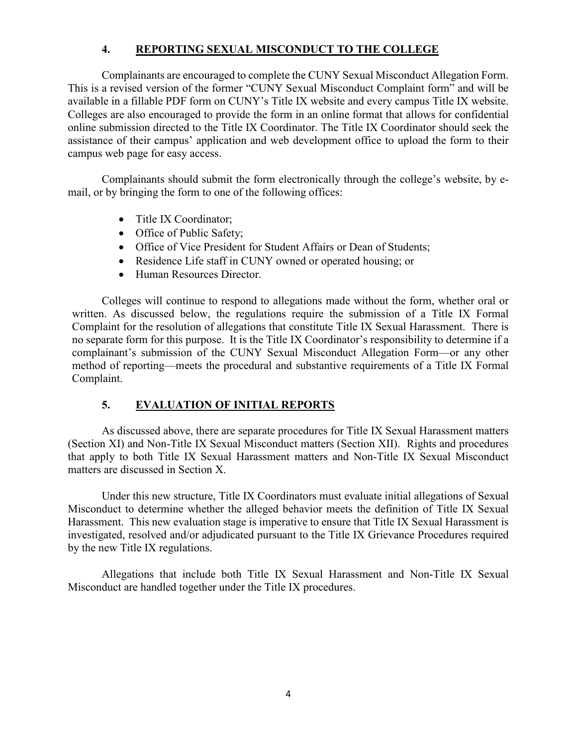# **4. REPORTING SEXUAL MISCONDUCT TO THE COLLEGE**

Complainants are encouraged to complete the CUNY Sexual Misconduct Allegation Form. This is a revised version of the former "CUNY Sexual Misconduct Complaint form" and will be available in a fillable PDF form on CUNY's Title IX website and every campus Title IX website. Colleges are also encouraged to provide the form in an online format that allows for confidential online submission directed to the Title IX Coordinator. The Title IX Coordinator should seek the assistance of their campus' application and web development office to upload the form to their campus web page for easy access.

Complainants should submit the form electronically through the college's website, by email, or by bringing the form to one of the following offices:

- Title IX Coordinator:
- Office of Public Safety;
- Office of Vice President for Student Affairs or Dean of Students;
- Residence Life staff in CUNY owned or operated housing; or
- Human Resources Director.

Colleges will continue to respond to allegations made without the form, whether oral or written. As discussed below, the regulations require the submission of a Title IX Formal Complaint for the resolution of allegations that constitute Title IX Sexual Harassment. There is no separate form for this purpose. It is the Title IX Coordinator's responsibility to determine if a complainant's submission of the CUNY Sexual Misconduct Allegation Form—or any other method of reporting—meets the procedural and substantive requirements of a Title IX Formal Complaint.

# **5. EVALUATION OF INITIAL REPORTS**

As discussed above, there are separate procedures for Title IX Sexual Harassment matters (Section XI) and Non-Title IX Sexual Misconduct matters (Section XII). Rights and procedures that apply to both Title IX Sexual Harassment matters and Non-Title IX Sexual Misconduct matters are discussed in Section X.

Under this new structure, Title IX Coordinators must evaluate initial allegations of Sexual Misconduct to determine whether the alleged behavior meets the definition of Title IX Sexual Harassment. This new evaluation stage is imperative to ensure that Title IX Sexual Harassment is investigated, resolved and/or adjudicated pursuant to the Title IX Grievance Procedures required by the new Title IX regulations.

Allegations that include both Title IX Sexual Harassment and Non-Title IX Sexual Misconduct are handled together under the Title IX procedures.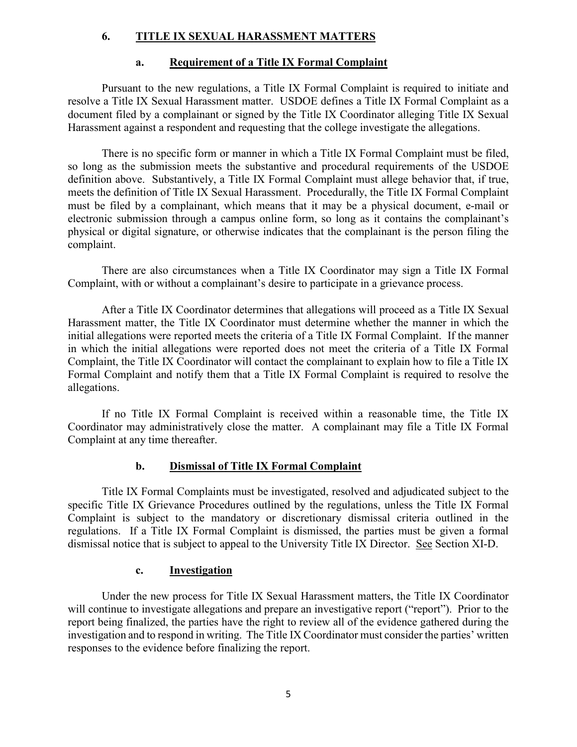## **6. TITLE IX SEXUAL HARASSMENT MATTERS**

#### **a. Requirement of a Title IX Formal Complaint**

Pursuant to the new regulations, a Title IX Formal Complaint is required to initiate and resolve a Title IX Sexual Harassment matter. USDOE defines a Title IX Formal Complaint as a document filed by a complainant or signed by the Title IX Coordinator alleging Title IX Sexual Harassment against a respondent and requesting that the college investigate the allegations.

There is no specific form or manner in which a Title IX Formal Complaint must be filed, so long as the submission meets the substantive and procedural requirements of the USDOE definition above. Substantively, a Title IX Formal Complaint must allege behavior that, if true, meets the definition of Title IX Sexual Harassment. Procedurally, the Title IX Formal Complaint must be filed by a complainant, which means that it may be a physical document, e-mail or electronic submission through a campus online form, so long as it contains the complainant's physical or digital signature, or otherwise indicates that the complainant is the person filing the complaint.

There are also circumstances when a Title IX Coordinator may sign a Title IX Formal Complaint, with or without a complainant's desire to participate in a grievance process.

After a Title IX Coordinator determines that allegations will proceed as a Title IX Sexual Harassment matter, the Title IX Coordinator must determine whether the manner in which the initial allegations were reported meets the criteria of a Title IX Formal Complaint. If the manner in which the initial allegations were reported does not meet the criteria of a Title IX Formal Complaint, the Title IX Coordinator will contact the complainant to explain how to file a Title IX Formal Complaint and notify them that a Title IX Formal Complaint is required to resolve the allegations.

If no Title IX Formal Complaint is received within a reasonable time, the Title IX Coordinator may administratively close the matter. A complainant may file a Title IX Formal Complaint at any time thereafter.

## **b. Dismissal of Title IX Formal Complaint**

Title IX Formal Complaints must be investigated, resolved and adjudicated subject to the specific Title IX Grievance Procedures outlined by the regulations, unless the Title IX Formal Complaint is subject to the mandatory or discretionary dismissal criteria outlined in the regulations. If a Title IX Formal Complaint is dismissed, the parties must be given a formal dismissal notice that is subject to appeal to the University Title IX Director. See Section XI-D.

## **c. Investigation**

Under the new process for Title IX Sexual Harassment matters, the Title IX Coordinator will continue to investigate allegations and prepare an investigative report ("report"). Prior to the report being finalized, the parties have the right to review all of the evidence gathered during the investigation and to respond in writing. The Title IX Coordinator must consider the parties' written responses to the evidence before finalizing the report.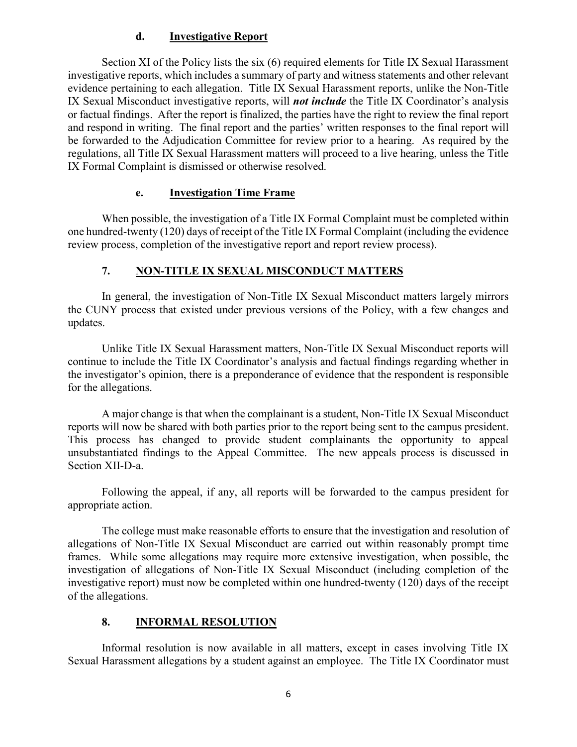## **d. Investigative Report**

Section XI of the Policy lists the six (6) required elements for Title IX Sexual Harassment investigative reports, which includes a summary of party and witness statements and other relevant evidence pertaining to each allegation. Title IX Sexual Harassment reports, unlike the Non-Title IX Sexual Misconduct investigative reports, will *not include* the Title IX Coordinator's analysis or factual findings. After the report is finalized, the parties have the right to review the final report and respond in writing. The final report and the parties' written responses to the final report will be forwarded to the Adjudication Committee for review prior to a hearing. As required by the regulations, all Title IX Sexual Harassment matters will proceed to a live hearing, unless the Title IX Formal Complaint is dismissed or otherwise resolved.

## **e. Investigation Time Frame**

When possible, the investigation of a Title IX Formal Complaint must be completed within one hundred-twenty (120) days of receipt of the Title IX Formal Complaint (including the evidence review process, completion of the investigative report and report review process).

# **7. NON-TITLE IX SEXUAL MISCONDUCT MATTERS**

In general, the investigation of Non-Title IX Sexual Misconduct matters largely mirrors the CUNY process that existed under previous versions of the Policy, with a few changes and updates.

Unlike Title IX Sexual Harassment matters, Non-Title IX Sexual Misconduct reports will continue to include the Title IX Coordinator's analysis and factual findings regarding whether in the investigator's opinion, there is a preponderance of evidence that the respondent is responsible for the allegations.

A major change is that when the complainant is a student, Non-Title IX Sexual Misconduct reports will now be shared with both parties prior to the report being sent to the campus president. This process has changed to provide student complainants the opportunity to appeal unsubstantiated findings to the Appeal Committee. The new appeals process is discussed in Section XII-D-a.

Following the appeal, if any, all reports will be forwarded to the campus president for appropriate action.

The college must make reasonable efforts to ensure that the investigation and resolution of allegations of Non-Title IX Sexual Misconduct are carried out within reasonably prompt time frames. While some allegations may require more extensive investigation, when possible, the investigation of allegations of Non-Title IX Sexual Misconduct (including completion of the investigative report) must now be completed within one hundred-twenty (120) days of the receipt of the allegations.

# **8. INFORMAL RESOLUTION**

Informal resolution is now available in all matters, except in cases involving Title IX Sexual Harassment allegations by a student against an employee. The Title IX Coordinator must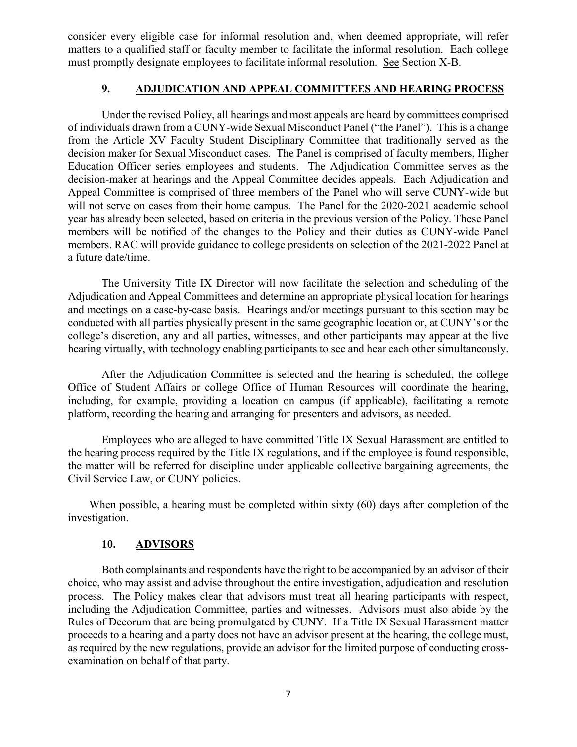consider every eligible case for informal resolution and, when deemed appropriate, will refer matters to a qualified staff or faculty member to facilitate the informal resolution. Each college must promptly designate employees to facilitate informal resolution. See Section X-B.

## **9. ADJUDICATION AND APPEAL COMMITTEES AND HEARING PROCESS**

Under the revised Policy, all hearings and most appeals are heard by committees comprised of individuals drawn from a CUNY-wide Sexual Misconduct Panel ("the Panel"). This is a change from the Article XV Faculty Student Disciplinary Committee that traditionally served as the decision maker for Sexual Misconduct cases. The Panel is comprised of faculty members, Higher Education Officer series employees and students. The Adjudication Committee serves as the decision-maker at hearings and the Appeal Committee decides appeals. Each Adjudication and Appeal Committee is comprised of three members of the Panel who will serve CUNY-wide but will not serve on cases from their home campus. The Panel for the 2020-2021 academic school year has already been selected, based on criteria in the previous version of the Policy. These Panel members will be notified of the changes to the Policy and their duties as CUNY-wide Panel members. RAC will provide guidance to college presidents on selection of the 2021-2022 Panel at a future date/time.

The University Title IX Director will now facilitate the selection and scheduling of the Adjudication and Appeal Committees and determine an appropriate physical location for hearings and meetings on a case-by-case basis. Hearings and/or meetings pursuant to this section may be conducted with all parties physically present in the same geographic location or, at CUNY's or the college's discretion, any and all parties, witnesses, and other participants may appear at the live hearing virtually, with technology enabling participants to see and hear each other simultaneously.

After the Adjudication Committee is selected and the hearing is scheduled, the college Office of Student Affairs or college Office of Human Resources will coordinate the hearing, including, for example, providing a location on campus (if applicable), facilitating a remote platform, recording the hearing and arranging for presenters and advisors, as needed.

Employees who are alleged to have committed Title IX Sexual Harassment are entitled to the hearing process required by the Title IX regulations, and if the employee is found responsible, the matter will be referred for discipline under applicable collective bargaining agreements, the Civil Service Law, or CUNY policies.

When possible, a hearing must be completed within sixty (60) days after completion of the investigation.

## **10. ADVISORS**

Both complainants and respondents have the right to be accompanied by an advisor of their choice, who may assist and advise throughout the entire investigation, adjudication and resolution process. The Policy makes clear that advisors must treat all hearing participants with respect, including the Adjudication Committee, parties and witnesses. Advisors must also abide by the Rules of Decorum that are being promulgated by CUNY. If a Title IX Sexual Harassment matter proceeds to a hearing and a party does not have an advisor present at the hearing, the college must, as required by the new regulations, provide an advisor for the limited purpose of conducting crossexamination on behalf of that party.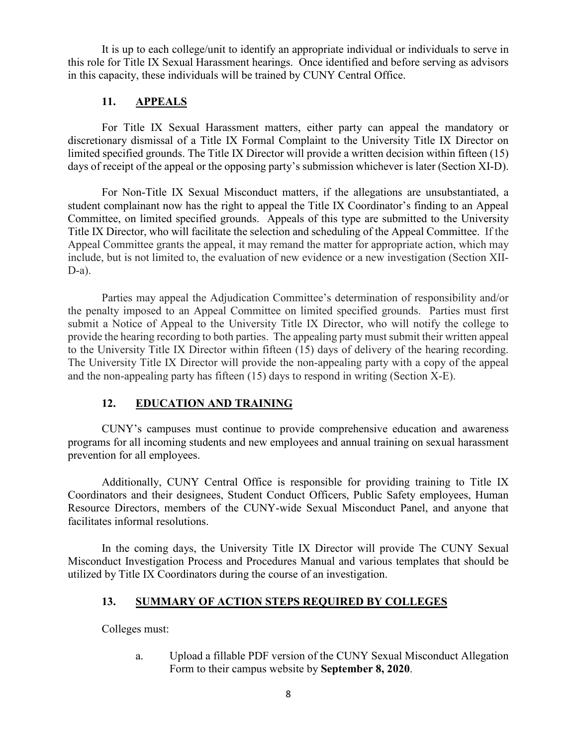It is up to each college/unit to identify an appropriate individual or individuals to serve in this role for Title IX Sexual Harassment hearings. Once identified and before serving as advisors in this capacity, these individuals will be trained by CUNY Central Office.

# **11. APPEALS**

For Title IX Sexual Harassment matters, either party can appeal the mandatory or discretionary dismissal of a Title IX Formal Complaint to the University Title IX Director on limited specified grounds. The Title IX Director will provide a written decision within fifteen (15) days of receipt of the appeal or the opposing party's submission whichever is later (Section XI-D).

For Non-Title IX Sexual Misconduct matters, if the allegations are unsubstantiated, a student complainant now has the right to appeal the Title IX Coordinator's finding to an Appeal Committee, on limited specified grounds. Appeals of this type are submitted to the University Title IX Director, who will facilitate the selection and scheduling of the Appeal Committee. If the Appeal Committee grants the appeal, it may remand the matter for appropriate action, which may include, but is not limited to, the evaluation of new evidence or a new investigation (Section XII-D-a).

Parties may appeal the Adjudication Committee's determination of responsibility and/or the penalty imposed to an Appeal Committee on limited specified grounds. Parties must first submit a Notice of Appeal to the University Title IX Director, who will notify the college to provide the hearing recording to both parties. The appealing party must submit their written appeal to the University Title IX Director within fifteen (15) days of delivery of the hearing recording. The University Title IX Director will provide the non-appealing party with a copy of the appeal and the non-appealing party has fifteen (15) days to respond in writing (Section X-E).

# **12. EDUCATION AND TRAINING**

CUNY's campuses must continue to provide comprehensive education and awareness programs for all incoming students and new employees and annual training on sexual harassment prevention for all employees.

Additionally, CUNY Central Office is responsible for providing training to Title IX Coordinators and their designees, Student Conduct Officers, Public Safety employees, Human Resource Directors, members of the CUNY-wide Sexual Misconduct Panel, and anyone that facilitates informal resolutions.

In the coming days, the University Title IX Director will provide The CUNY Sexual Misconduct Investigation Process and Procedures Manual and various templates that should be utilized by Title IX Coordinators during the course of an investigation.

# **13. SUMMARY OF ACTION STEPS REQUIRED BY COLLEGES**

Colleges must:

a. Upload a fillable PDF version of the CUNY Sexual Misconduct Allegation Form to their campus website by **September 8, 2020**.